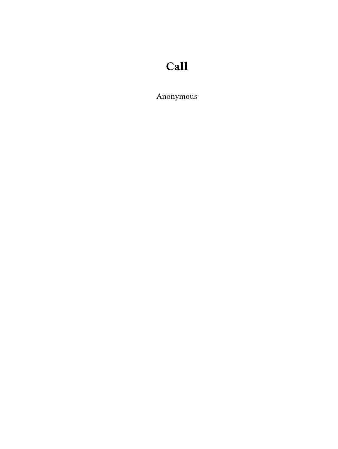# **Call**

Anonymous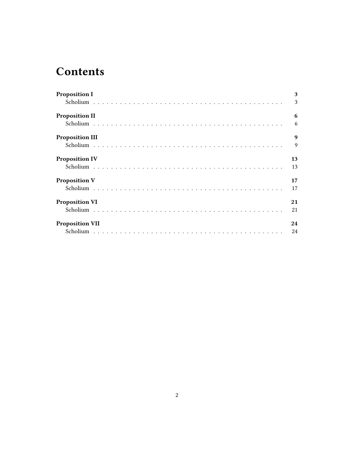## **Contents**

| <b>Proposition I</b>   | 3  |  |
|------------------------|----|--|
|                        | 3  |  |
| <b>Proposition II</b>  | 6  |  |
|                        |    |  |
| <b>Proposition III</b> | 9  |  |
|                        | 9  |  |
| <b>Proposition IV</b>  | 13 |  |
|                        | 13 |  |
| <b>Proposition V</b>   | 17 |  |
|                        | 17 |  |
| <b>Proposition VI</b>  | 21 |  |
|                        | 21 |  |
| <b>Proposition VII</b> | 24 |  |
|                        | 24 |  |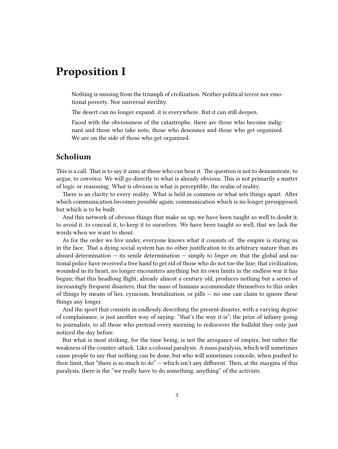### <span id="page-2-0"></span>**Proposition I**

Nothing is missing from the triumph of civilization. Neither political terror nor emotional poverty. Nor universal sterility.

The desert can no longer expand: it is everywhere. But it can still deepen.

Faced with the obviousness of the catastrophe, there are those who become indignant and those who take note, those who denounce and those who get organized. We are on the side of those who get organized.

#### <span id="page-2-1"></span>**Scholium**

This is a call. That is to say it aims at those who can hear it. The question is not to demonstrate, to argue, to *convince*. We will go directly to what is already obvious. This is not primarily a matter of logic or reasoning. What is obvious is what is perceptible, the realm of reality.

There is an clarity to every reality. What is held in common or what sets things apart. After which communication becomes possible again, communication which is no longer presupposed, but which is to be built.

And this network of obvious things that make us up, we have been taught so well to doubt it, to avoid it, to conceal it, to keep it to ourselves. We have been taught so well, that we lack the words when we want to shout.

As for the order we live under, everyone knows what it consists of: the empire is staring us in the face. That a dying social system has no other justification to its arbitrary nature than its absurd determination — its senile determination — simply to *linger on*; that the global and national police have received a free hand to get rid of those who do not toe the line; that civilization, wounded in its heart, no longer encounters anything but its own limits in the endless war it has begun; that this headlong flight, already almost a century old, produces nothing but a series of increasingly frequent disasters; that the mass of humans accommodate themselves to this order of things by means of lies, cynicism, brutalization, or pills — no one can claim to ignore these things any longer.

And the sport that consists in endlessly describing the present disaster, with a varying degree of complaisance, is just another way of saying: "that's the way it is"; the prize of infamy going to journalists, to all those who pretend every morning to rediscover the bullshit they only just noticed the day before.

But what is most striking, for the time being, is not the arrogance of empire, but rather the weakness of the counter-attack. Like a colossal paralysis. A mass paralysis, which will sometimes cause people to say that nothing can be done, but who will sometimes concede, when pushed to their limit, that "there is so much to do" — which isn't any different. Then, at the margins of this paralysis, there is the "we really have to do something, anything" of the activists.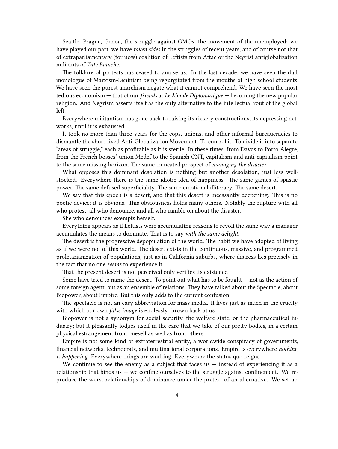Seattle, Prague, Genoa, the struggle against GMOs, the movement of the unemployed; we have played our part, we have *taken sides* in the struggles of recent years; and of course not that of extraparliamentary (for now) coalition of Leftists from Attac or the Negrist antiglobalization militants of *Tute Bianche*.

The folklore of protests has ceased to amuse us. In the last decade, we have seen the dull monologue of Marxism-Leninism being regurgitated from the mouths of high school students. We have seen the purest anarchism negate what it cannot comprehend. We have seen the most tedious economism — that of our *friends* at *Le Monde Diplomatique* — becoming the new popular religion. And Negrism asserts itself as the only alternative to the intellectual rout of the global left.

Everywhere militantism has gone back to raising its rickety constructions, its depressing networks, until it is exhausted.

It took no more than three years for the cops, unions, and other informal bureaucracies to dismantle the short-lived Anti-Globalization Movement. To control it. To divide it into separate "areas of struggle," each as profitable as it is sterile. In these times, from Davos to Porto Alegre, from the French bosses' union Medef to the Spanish CNT, capitalism and anti-capitalism point to the same missing horizon. The same truncated prospect of *managing the disaster*.

What opposes this dominant desolation is nothing but another desolation, just less wellstocked. Everywhere there is the same idiotic idea of happiness. The same games of spastic power. The same defused superficiality. The same emotional illiteracy. The same desert.

We say that this epoch is a desert, and that this desert is incessantly deepening. This is no poetic device; it is obvious. This obviousness holds many others. Notably the rupture with all who protest, all who denounce, and all who ramble on about the disaster.

She who denounces exempts herself.

Everything appears as if Leftists were accumulating reasons to revolt the same way a manager accumulates the means to dominate. That is to say *with the same delight*.

The desert is the progressive depopulation of the world. The habit we have adopted of living as if we were not of this world. The desert exists in the continuous, massive, and programmed proletarianization of populations, just as in California suburbs, where distress lies precisely in the fact that no one *seems* to experience it.

That the present desert is not perceived only verifies its existence.

Some have tried to name the desert. To point out what has to be fought — not as the action of some foreign agent, but as an ensemble of relations. They have talked about the Spectacle, about Biopower, about Empire. But this only adds to the current confusion.

The spectacle is not an easy abbreviation for mass media. It lives just as much in the cruelty with which our own *false image* is endlessly thrown back at us.

Biopower is not a synonym for social security, the welfare state, or the pharmaceutical industry; but it pleasantly lodges itself in the care that we take of our pretty bodies, in a certain physical estrangement from oneself as well as from others.

Empire is not some kind of extraterrestrial entity, a worldwide conspiracy of governments, financial networks, technocrats, and multinational corporations. Empire is everywhere *nothing is happening*. Everywhere things are working. Everywhere the status quo reigns.

We continue to see the enemy as a subject that faces us  $-$  instead of experiencing it as a relationship that binds us  $-$  we confine ourselves to the struggle against confinement. We reproduce the worst relationships of dominance under the pretext of an alternative. We set up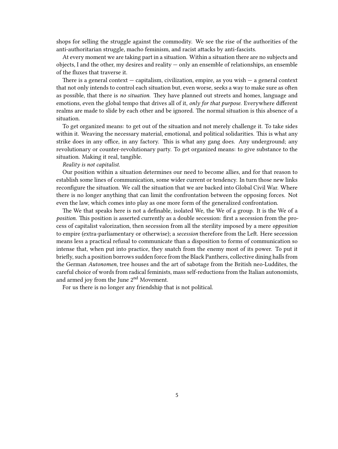shops for selling the struggle against the commodity. We see the rise of the authorities of the anti-authoritarian struggle, macho feminism, and racist attacks by anti-fascists.

At every moment we are taking part in a situation. Within a situation there are no subjects and objects, I and the other, my desires and reality — only an ensemble of relationships, an ensemble of the fluxes that traverse it.

There is a general context  $-$  capitalism, civilization, empire, as you wish  $-$  a general context that not only intends to control each situation but, even worse, seeks a way to make sure as often as possible, that there is *no situation*. They have planned out streets and homes, language and emotions, even the global tempo that drives all of it, *only for that purpose*. Everywhere different realms are made to slide by each other and be ignored. The normal situation is this absence of a situation.

To get organized means: to get out of the situation and not merely challenge it. To take sides within it. Weaving the necessary material, emotional, and political solidarities. This is what any strike does in any office, in any factory. This is what any gang does. Any underground; any revolutionary or counter-revolutionary party. To get organized means: to give substance to the situation. Making it real, tangible.

#### *Reality is not capitalist.*

Our position within a situation determines our need to become allies, and for that reason to establish some lines of communication, some wider current or tendency. In turn those new links reconfigure the situation. We call the situation that we are backed into Global Civil War. Where there is no longer anything that can limit the confrontation between the opposing forces. Not even the law, which comes into play as one more form of the generalized confrontation.

The We that speaks here is not a definable, isolated We, the We of a group. It is the We of a *position*. This position is asserted currently as a double secession: first a secession from the process of capitalist valorization, then secession from all the sterility imposed by a mere *opposition* to empire (extra-parliamentary or otherwise); a *secession* therefore from the Left. Here secession means less a practical refusal to communicate than a disposition to forms of communication so intense that, when put into practice, they snatch from the enemy most of its power. To put it briefly, such a position borrows sudden force from the Black Panthers, collective dining halls from the German *Autonomen*, tree houses and the art of sabotage from the British neo-Luddites, the careful choice of words from radical feminists, mass self-reductions from the Italian autonomists, and armed joy from the June 2nd Movement.

For us there is no longer any friendship that is not political.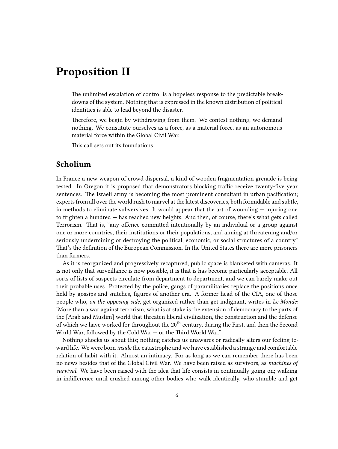### <span id="page-5-0"></span>**Proposition II**

The unlimited escalation of control is a hopeless response to the predictable breakdowns of the system. Nothing that is expressed in the known distribution of political identities is able to lead beyond the disaster.

Therefore, we begin by withdrawing from them. We contest nothing, we demand nothing. We constitute ourselves as a force, as a material force, as an autonomous material force within the Global Civil War.

This call sets out its foundations.

#### <span id="page-5-1"></span>**Scholium**

In France a new weapon of crowd dispersal, a kind of wooden fragmentation grenade is being tested. In Oregon it is proposed that demonstrators blocking traffic receive twenty-five year sentences. The Israeli army is becoming the most prominent consultant in urban pacification; experts from all over the world rush to marvel at the latest discoveries, both formidable and subtle, in methods to eliminate subversives. It would appear that the art of wounding  $-$  injuring one to frighten a hundred — has reached new heights. And then, of course, there's what gets called Terrorism. That is, "any offence committed intentionally by an individual or a group against one or more countries, their institutions or their populations, and aiming at threatening and/or seriously undermining or destroying the political, economic, or social structures of a country." That's the definition of the European Commission. In the United States there are more prisoners than farmers.

As it is reorganized and progressively recaptured, public space is blanketed with cameras. It is not only that surveillance is now possible, it is that is has become particularly acceptable. All sorts of lists of suspects circulate from department to department, and we can barely make out their probable uses. Protected by the police, gangs of paramilitaries replace the positions once held by gossips and snitches, figures of another era. A former head of the CIA, one of those people who, *on the opposing side*, get organized rather than get indignant, writes in *Le Monde*: "More than a war against terrorism, what is at stake is the extension of democracy to the parts of the [Arab and Muslim] world that threaten liberal civilization, the construction and the defense of which we have worked for throughout the  $20<sup>th</sup>$  century, during the First, and then the Second World War, followed by the Cold War — or the Third World War."

Nothing shocks us about this; nothing catches us unawares or radically alters our feeling toward life. We were born *inside* the catastrophe and we have established a strange and comfortable relation of habit with it. Almost an intimacy. For as long as we can remember there has been no news besides that of the Global Civil War. We have been raised as survivors, as *machines of survival*. We have been raised with the idea that life consists in continually going on; walking in indifference until crushed among other bodies who walk identically, who stumble and get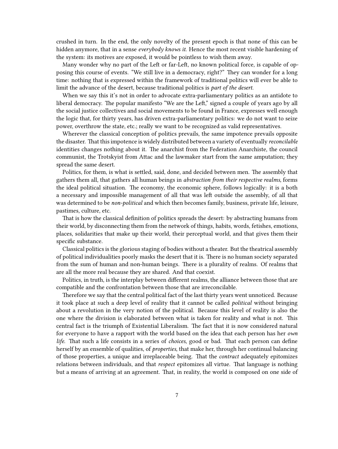crushed in turn. In the end, the only novelty of the present epoch is that none of this can be hidden anymore, that in a sense *everybody knows it*. Hence the most recent visible hardening of the system: its motives are exposed, it would be pointless to wish them away.

Many wonder why no part of the Left or far-Left, no known political force, is capable of opposing this course of events. "We still live in a democracy, right?" They can wonder for a long time: nothing that is expressed within the framework of traditional politics will ever be able to limit the advance of the desert, because traditional politics is *part of the desert*.

When we say this it's not in order to advocate extra-parliamentary politics as an antidote to liberal democracy. The popular manifesto "We are the Left," signed a couple of years ago by all the social justice collectives and social movements to be found in France, expresses well enough the logic that, for thirty years, has driven extra-parliamentary politics: we do not want to seize power, overthrow the state, etc.; really we want to be recognized as valid representatives.

Wherever the classical conception of politics prevails, the same impotence prevails opposite the disaster. That this impotence is widely distributed between a variety of eventually *reconcilable* identities changes nothing about it. The anarchist from the Federation Anarchiste, the council communist, the Trotskyist from Attac and the lawmaker start from the same amputation; they spread the same desert.

Politics, for them, is what is settled, said, done, and decided between men. The assembly that gathers them all, that gathers all human beings in *abstraction from their respective realms*, forms the ideal political situation. The economy, the economic sphere, follows logically: it is a both a necessary and impossible management of all that was left outside the assembly, of all that was determined to be *non-political* and which then becomes family, business, private life, leisure, pastimes, culture, etc.

That is how the classical definition of politics spreads the desert: by abstracting humans from their world, by disconnecting them from the network of things, habits, words, fetishes, emotions, places, solidarities that make up their world, their perceptual world, and that gives them their specific substance.

Classical politics is the glorious staging of bodies without a theater. But the theatrical assembly of political individualities poorly masks the desert that it is. There is no human society separated from the sum of human and non-human beings. There is a plurality of realms. Of realms that are all the more real because they are shared. And that coexist.

Politics, in truth, is the interplay between different realms, the alliance between those that are compatible and the confrontation between those that are irreconcilable.

Therefore we say that the central political fact of the last thirty years went unnoticed. Because it took place at such a deep level of reality that it cannot be called *political* without bringing about a revolution in the very notion of the political. Because this level of reality is also the one where the division is elaborated between what is taken for reality and what is not. This central fact is the triumph of Existential Liberalism. The fact that it is now considered natural for everyone to have a rapport with the world based on the idea that each person has her *own life*. That such a life consists in a series of *choices*, good or bad. That each person can define herself by an ensemble of qualities, of *properties*, that make her, through her continual balancing of those properties, a unique and irreplaceable being. That the *contract* adequately epitomizes relations between individuals, and that *respect* epitomizes all virtue. That language is nothing but a means of arriving at an agreement. That, in reality, the world is composed on one side of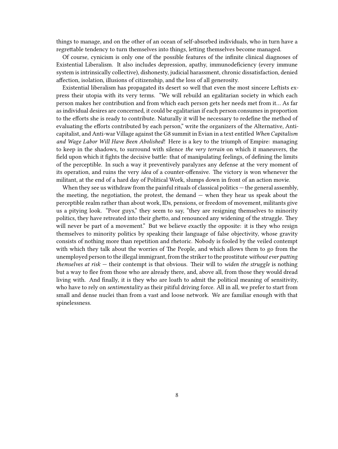things to manage, and on the other of an ocean of self-absorbed individuals, who in turn have a regrettable tendency to turn themselves into things, letting themselves become managed.

Of course, cynicism is only one of the possible features of the infinite clinical diagnoses of Existential Liberalism. It also includes depression, apathy, immunodeficiency (every immune system is intrinsically collective), dishonesty, judicial harassment, chronic dissatisfaction, denied affection, isolation, illusions of citizenship, and the loss of all generosity.

Existential liberalism has propagated its desert so well that even the most sincere Leftists express their utopia with its very terms. "We will rebuild an egalitarian society in which each person makes her contribution and from which each person gets her needs met from it… As far as individual desires are concerned, it could be egalitarian if each person consumes in proportion to the efforts she is ready to contribute. Naturally it will be necessary to redefine the method of evaluating the efforts contributed by each person," write the organizers of the Alternative, Anticapitalist, and Anti-war Village against the G8 summit in Evian in a text entitled *When Capitalism and Wage Labor Will Have Been Abolished*! Here is a key to the triumph of Empire: managing to keep in the shadows, to surround with silence *the very terrain* on which it maneuvers, the field upon which it fights the decisive battle: that of manipulating feelings, of defining the limits of the perceptible. In such a way it preventively paralyzes any defense at the very moment of its operation, and ruins the very *idea* of a counter-offensive. The victory is won whenever the militant, at the end of a hard day of Political Work, slumps down in front of an action movie.

When they see us withdraw from the painful rituals of classical politics  $-$  the general assembly, the meeting, the negotiation, the protest, the demand — when they hear us speak about the perceptible realm rather than about work, IDs, pensions, or freedom of movement, militants give us a pitying look. "Poor guys," they seem to say, "they are resigning themselves to minority politics, they have retreated into their ghetto, and renounced any widening of the struggle. They will never be part of a movement." But we believe exactly the opposite: it is they who resign themselves to minority politics by speaking their language of false objectivity, whose gravity consists of nothing more than repetition and rhetoric. Nobody is fooled by the veiled contempt with which they talk about the worries of The People, and which allows them to go from the unemployed person to the illegal immigrant, from the striker to the prostitute*without ever putting themselves at risk* — their contempt is that obvious. Their will to *widen the struggle* is nothing but a way to flee from those who are already there, and, above all, from those they would dread living with. And finally, it is they who are loath to admit the political meaning of sensitivity, who have to rely on *sentimentality* as their pitiful driving force. All in all, we prefer to start from small and dense nuclei than from a vast and loose network. We are familiar enough with that spinelessness.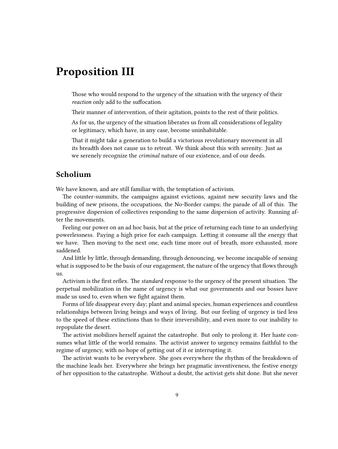### <span id="page-8-0"></span>**Proposition III**

Those who would respond to the urgency of the situation with the urgency of their *reaction* only add to the suffocation.

Their manner of intervention, of their agitation, points to the rest of their politics.

As for us, the urgency of the situation liberates us from all considerations of legality or legitimacy, which have, in any case, become uninhabitable.

That it might take a generation to build a victorious revolutionary movement in all its breadth does not cause us to retreat. We think about this with serenity. Just as we serenely recognize the *criminal* nature of our existence, and of our deeds.

#### <span id="page-8-1"></span>**Scholium**

We have known, and are still familiar with, the temptation of activism.

The counter-summits, the campaigns against evictions, against new security laws and the building of new prisons, the occupations, the No-Border camps; the parade of all of this. The progressive dispersion of collectives responding to the same dispersion of activity. Running after the movements.

Feeling our power on an ad hoc basis, but at the price of returning each time to an underlying powerlessness. Paying a high price for each campaign. Letting it consume all the energy that we have. Then moving to the next one, each time more out of breath, more exhausted, more saddened.

And little by little, through demanding, through denouncing, we become incapable of sensing what is supposed to be the basis of our engagement, the nature of the urgency that flows through us.

Activism is the first reflex. The *standard* response to the urgency of the present situation. The perpetual mobilization in the name of urgency is what our governments and our bosses have made us used to, even when we fight against them.

Forms of life disappear every day; plant and animal species, human experiences and countless relationships between living beings and ways of living. But our feeling of urgency is tied less to the speed of these extinctions than to their irreversibility, and even more to our inability to repopulate the desert.

The activist mobilizes herself against the catastrophe. But only to prolong it. Her haste consumes what little of the world remains. The activist answer to urgency remains faithful to the regime of urgency, with no hope of getting out of it or interrupting it.

The activist wants to be everywhere. She goes everywhere the rhythm of the breakdown of the machine leads her. Everywhere she brings her pragmatic inventiveness, the festive energy of her opposition to the catastrophe. Without a doubt, the activist gets shit done. But she never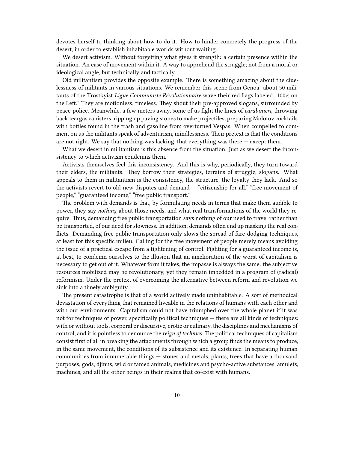devotes herself to thinking about how to do it. How to hinder concretely the progress of the desert, in order to establish inhabitable worlds without waiting.

We desert activism. Without forgetting what gives it strength: a certain presence within the situation. An ease of movement within it. A way to apprehend the struggle; not from a moral or ideological angle, but technically and tactically.

Old militantism provides the opposite example. There is something amazing about the cluelessness of militants in various situations. We remember this scene from Genoa: about 50 militants of the Trostkyist *Ligue Communiste Révolutionnaire* wave their red flags labeled "100% on the Left." They are motionless, timeless. They shout their pre-approved slogans, surrounded by peace-police. Meanwhile, a few meters away, some of us fight the lines of *carabinieri*, throwing back teargas canisters, ripping up paving stones to make projectiles, preparing Molotov cocktails with bottles found in the trash and gasoline from overturned Vespas. When compelled to comment on us the militants speak of adventurism, mindlessness. Their pretext is that the conditions are not right. We say that nothing was lacking, that everything was there  $-$  except them.

What we desert in militantism is this absence from the situation. Just as we desert the inconsistency to which activism condemns them.

Activists themselves feel this inconsistency. And this is why, periodically, they turn toward their elders, the militants. They borrow their strategies, terrains of struggle, slogans. What appeals to them in militantism is the consistency, the structure, the loyalty they lack. And so the activists revert to old-new disputes and demand — "citizenship for all," "free movement of people," "guaranteed income," "free public transport."

The problem with demands is that, by formulating needs in terms that make them audible to power, they say *nothing* about those needs, and what real transformations of the world they require. Thus, demanding free public transportation says nothing of our need to travel rather than be transported, of our need for slowness. In addition, demands often end up masking the real conflicts. Demanding free public transportation only slows the spread of fare-dodging techniques, at least for this specific milieu. Calling for the free movement of people merely means avoiding the issue of a practical escape from a tightening of control. Fighting for a guaranteed income is, at best, to condemn ourselves to the illusion that an amelioration of the worst of capitalism is necessary to get out of it. Whatever form it takes, the impasse is always the same: the subjective resources mobilized may be revolutionary, yet they remain imbedded in a program of (radical) reformism. Under the pretext of overcoming the alternative between reform and revolution we sink into a timely ambiguity.

The present catastrophe is that of a world actively made uninhabitable. A sort of methodical devastation of everything that remained liveable in the relations of humans with each other and with our environments. Capitalism could not have triumphed over the whole planet if it was not for techniques of power, specifically political techniques — there are all kinds of techniques: with or without tools, corporal or discursive, erotic or culinary, the disciplines and mechanisms of control, and it is pointless to denounce the *reign of technics*. The political techniques of capitalism consist first of all in breaking the attachments through which a group finds the means to produce, in the same movement, the conditions of its subsistence and its existence. In separating human communities from innumerable things — stones and metals, plants, trees that have a thousand purposes, gods, djinns, wild or tamed animals, medicines and psycho-active substances, amulets, machines, and all the other beings in their realms that co-exist with humans.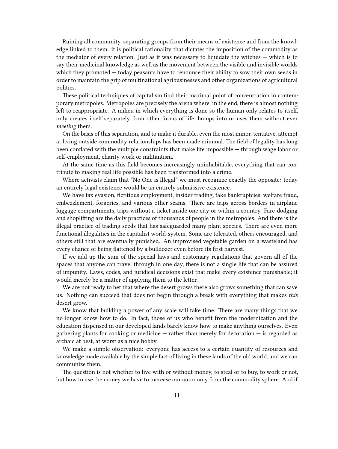Ruining all community, separating groups from their means of existence and from the knowledge linked to them: it is political rationality that dictates the imposition of the commodity as the mediator of every relation. Just as it was necessary to liquidate the witches — which is to say their medicinal knowledge as well as the movement between the visible and invisible worlds which they promoted — today peasants have to renounce their ability to sow their own seeds in order to maintain the grip of multinational agribusinesses and other organizations of agricultural politics.

These political techniques of capitalism find their maximal point of concentration in contemporary metropoles. Metropoles are precisely the arena where, in the end, there is almost nothing left to reappropriate. A milieu in which everything is done so the human only relates to itself, only creates itself separately from other forms of life, bumps into or uses them without ever *meeting* them.

On the basis of this separation, and to make it durable, even the most minor, tentative, attempt at living outside commodity relationships has been made criminal. The field of legality has long been conflated with the multiple constraints that make life impossible — through wage labor or self-employment, charity work or militantism.

At the same time as this field becomes increasingly uninhabitable, everything that can contribute to making real life possible has been transformed into a crime.

Where activists claim that "No One is Illegal" we must recognize exactly the opposite: today an entirely legal existence would be an entirely submissive existence.

We have tax evasion, fictitious employment, insider trading, fake bankruptcies, welfare fraud, embezzlement, forgeries, and various other scams. There are trips across borders in airplane luggage compartments, trips without a ticket inside one city or within a country. Fare-dodging and shoplifting are the daily practices of thousands of people in the metropoles. And there is the illegal practice of trading seeds that has safeguarded many plant species. There are even more functional illegalities in the capitalist world-system. Some are tolerated, others encouraged, and others still that are eventually punished. An improvised vegetable garden on a wasteland has every chance of being flattened by a bulldozer even before its first harvest.

If we add up the sum of the special laws and customary regulations that govern all of the spaces that anyone can travel through in one day, there is not a single life that can be assured of impunity. Laws, codes, and juridical decisions exist that make every existence punishable; it would merely be a matter of applying them to the letter.

We are not ready to bet that where the desert grows there also grows something that can save us. Nothing can succeed that does not begin through a break with everything that makes *this* desert grow.

We know that building a power of any scale will take time. There are many things that we no longer know how to do. In fact, those of us who benefit from the modernization and the education dispensed in our developed lands barely know how to make anything ourselves. Even gathering plants for cooking or medicine — rather than merely for decoration — is regarded as archaic at best, at worst as a nice hobby.

We make a simple observation: everyone has access to a certain quantity of resources and knowledge made available by the simple fact of living in these lands of the old world, and we can communize them.

The question is not whether to live with or without money, to steal or to buy, to work or not, but how to use the money we have to increase our autonomy from the commodity sphere. And if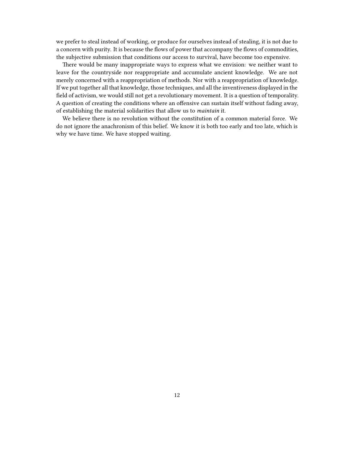we prefer to steal instead of working, or produce for ourselves instead of stealing, it is not due to a concern with purity. It is because the flows of power that accompany the flows of commodities, the subjective submission that conditions our access to survival, have become too expensive.

There would be many inappropriate ways to express what we envision: we neither want to leave for the countryside nor reappropriate and accumulate ancient knowledge. We are not merely concerned with a reappropriation of methods. Nor with a reappropriation of knowledge. If we put together all that knowledge, those techniques, and all the inventiveness displayed in the field of activism, we would still not get a revolutionary movement. It is a question of temporality. A question of creating the conditions where an offensive can sustain itself without fading away, of establishing the material solidarities that allow us to *maintain* it.

We believe there is no revolution without the constitution of a common material force. We do not ignore the anachronism of this belief. We know it is both too early and too late, which is why we have time. We have stopped waiting.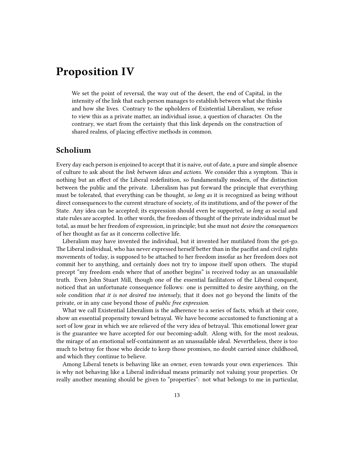### <span id="page-12-0"></span>**Proposition IV**

We set the point of reversal, the way out of the desert, the end of Capital, in the intensity of the link that each person manages to establish between what she thinks and how she lives. Contrary to the upholders of Existential Liberalism, we refuse to view this as a private matter, an individual issue, a question of character. On the contrary, we start from the certainty that this link depends on the construction of shared realms, of placing effective methods in common.

#### <span id="page-12-1"></span>**Scholium**

Every day each person is enjoined to accept that it is naive, out of date, a pure and simple absence of culture to ask about the *link between ideas and actions*. We consider this a symptom. This is nothing but an effect of the Liberal redefinition, so fundamentally modern, of the distinction between the public and the private. Liberalism has put forward the principle that everything must be tolerated, that everything can be thought, *so long as* it is recognized as being without direct consequences to the current structure of society, of its institutions, and of the power of the State. Any idea can be accepted; its expression should even be supported, *so long as* social and state rules are accepted. In other words, the freedom of thought of the private individual must be total, as must be her freedom of expression, in principle; but she must not *desire* the *consequences* of her thought as far as it concerns collective life.

Liberalism may have invented the individual, but it invented her mutilated from the get-go. The Liberal individual, who has never expressed herself better than in the pacifist and civil rights movements of today, is supposed to be attached to her freedom insofar as her freedom does not commit her to anything, and certainly does not try to impose itself upon others. The stupid precept "my freedom ends where that of another begins" is received today as an unassailable truth. Even John Stuart Mill, though one of the essential facilitators of the Liberal conquest, noticed that an unfortunate consequence follows: one is permitted to desire anything, on the sole condition *that it is not desired too intensely*, that it does not go beyond the limits of the private, or in any case beyond those of *public free expression*.

What we call Existential Liberalism is the adherence to a series of facts, which at their core, show an essential propensity toward betrayal. We have become accustomed to functioning at a sort of low gear in which we are relieved of the very idea of betrayal. This emotional lower gear is the guarantee we have accepted for our becoming-adult. Along with, for the most zealous, the mirage of an emotional self-containment as an unassailable ideal. Nevertheless, there is too much to betray for those who decide to keep those promises, no doubt carried since childhood, and which they continue to believe.

Among Liberal tenets is behaving like an owner, even towards your own experiences. This is why not behaving like a Liberal individual means primarily not valuing your properties. Or really another meaning should be given to "properties": not what belongs to me in particular,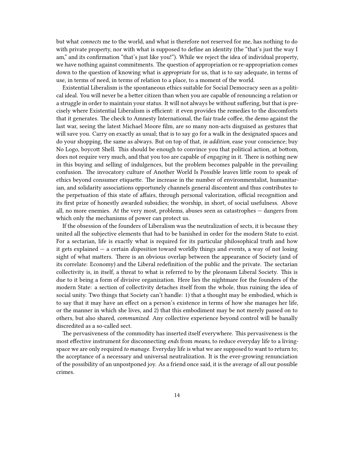but what *connects* me to the world, and what is therefore not reserved for me, has nothing to do with private property, nor with what is supposed to define an identity (the "that's just the way I am," and its confirmation "that's just like you!"). While we reject the idea of individual property, we have nothing against commitments. The question of appropriation or re-appropriation comes down to the question of knowing what is *appropriate* for us, that is to say adequate, in terms of use, in terms of need, in terms of relation to a place, to a moment of the world.

Existential Liberalism is the spontaneous ethics suitable for Social Democracy seen as a political ideal. You will never be a better citizen than when you are capable of renouncing a relation or a struggle in order to maintain your status. It will not always be without suffering, but that is precisely where Existential Liberalism is efficient: it even provides the remedies to the discomforts that it generates. The check to Amnesty International, the fair trade coffee, the demo against the last war, seeing the latest Michael Moore film, are so many non-acts disguised as gestures that will save you. Carry on exactly as usual; that is to say go for a walk in the designated spaces and do your shopping, the same as always. But on top of that, *in addition*, ease your conscience; buy No Logo, boycott Shell. This should be enough to convince you that political action, at bottom, does not require very much, and that you too are capable of *engaging* in it. There is nothing new in this buying and selling of indulgences, but the problem becomes palpable in the prevailing confusion. The invocatory culture of Another World Is Possible leaves little room to speak of ethics beyond consumer etiquette. The increase in the number of environmentalist, humanitarian, and solidarity associations opportunely channels general discontent and thus contributes to the perpetuation of this state of affairs, through personal valorization, official recognition and its first prize of honestly awarded subsidies; the worship, in short, of social usefulness. Above all, no more enemies. At the very most, problems, abuses seen as catastrophes — dangers from which only the mechanisms of power can protect us.

If the obsession of the founders of Liberalism was the neutralization of sects, it is because they united all the subjective elements that had to be banished in order for the modern State to exist. For a sectarian, life is exactly what is required for its particular philosophical truth and how it gets explained — a certain *disposition* toward worldly things and events, a way of not losing sight of what matters. There is an obvious overlap between the appearance of Society (and of its correlate: Economy) and the Liberal redefinition of the public and the private. The sectarian collectivity is, in itself, a threat to what is referred to by the pleonasm Liberal Society. This is due to it being a form of divisive organization. Here lies the nightmare for the founders of the modern State: a section of collectivity detaches itself from the whole, thus ruining the idea of social unity. Two things that Society can't handle: 1) that a thought may be embodied, which is to say that it may have an effect on a person's existence in terms of how she manages her life, or the manner in which she lives, and 2) that this embodiment may be not merely passed on to others, but also shared, *communized*. Any collective experience beyond control will be banally discredited as a so-called sect.

The pervasiveness of the commodity has inserted itself everywhere. This pervasiveness is the most effective instrument for disconnecting *ends* from *means*, to reduce everyday life to a livingspace we are only required *to manage*. Everyday life is what we are supposed to want to return to; the acceptance of a necessary and universal neutralization. It is the ever-growing renunciation of the possibility of an unpostponed joy. As a friend once said, it is the average of all our possible crimes.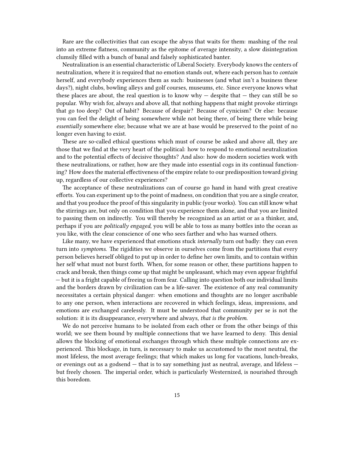Rare are the collectivities that can escape the abyss that waits for them: mashing of the real into an extreme flatness, community as the epitome of average intensity, a slow disintegration clumsily filled with a bunch of banal and falsely sophisticated banter.

Neutralization is an essential characteristic of Liberal Society. Everybody knows the centers of neutralization, where it is required that no emotion stands out, where each person has to *contain* herself, and everybody experiences them as such: businesses (and what isn't a business these days?), night clubs, bowling alleys and golf courses, museums, etc. Since everyone knows what these places are about, the real question is to know why  $-$  despite that  $-$  they can still be so popular. Why wish for, always and above all, that nothing happens that might provoke stirrings that go too deep? Out of habit? Because of despair? Because of cynicism? Or else: because you can feel the delight of being somewhere while not being there, of being there while being *essentially* somewhere else; because what we are at base would be preserved to the point of no longer even having to exist.

These are so-called ethical questions which must of course be asked and above all, they are those that we find at the very heart of the political: how to respond to emotional neutralization and to the potential effects of decisive thoughts? And also: how do modern societies work with these neutralizations, or rather, how are they made into essential cogs in its continual functioning? How does the material effectiveness of the empire relate to our predisposition toward giving up, regardless of our collective experiences?

The acceptance of these neutralizations can of course go hand in hand with great creative efforts. You can experiment up to the point of madness, on condition that you are a single creator, and that you produce the proof of this singularity in public (your works). You can still know what the stirrings are, but only on condition that you experience them alone, and that you are limited to passing them on indirectly. You will thereby be recognized as an artist or as a thinker, and, perhaps if you are *politically engaged*, you will be able to toss as many bottles into the ocean as you like, with the clear conscience of one who sees farther and who has warned others.

Like many, we have experienced that emotions stuck *internally* turn out badly: they can even turn into *symptoms*. The rigidities we observe in ourselves come from the partitions that every person believes herself obliged to put up in order to define her own limits, and to contain within her self what must not burst forth. When, for some reason or other, these partitions happen to crack and break, then things come up that might be unpleasant, which may even appear frightful — but it is a fright capable of freeing us from fear. Calling into question both our individual limits and the borders drawn by civilization can be a life-saver. The existence of any real community necessitates a certain physical danger: when emotions and thoughts are no longer ascribable to any one person, when interactions are recovered in which feelings, ideas, impressions, and emotions are exchanged carelessly. It must be understood that community per se is not the solution: it is its disappearance, everywhere and always, *that is the problem*.

We do not perceive humans to be isolated from each other or from the other beings of this world; we see them bound by multiple connections that we have learned to deny. This denial allows the blocking of emotional exchanges through which these multiple connections are experienced. This blockage, in turn, is necessary to make us accustomed to the most neutral, the most lifeless, the most average feelings; that which makes us long for vacations, lunch-breaks, or evenings out as a godsend — that is to say something just as neutral, average, and lifeless but freely chosen. The imperial order, which is particularly Westernized, is nourished through this boredom.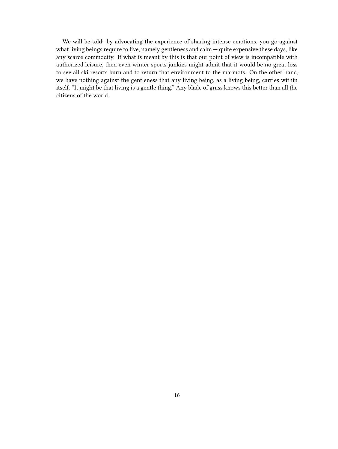We will be told: by advocating the experience of sharing intense emotions, you go against what living beings require to live, namely gentleness and calm — quite expensive these days, like any scarce commodity. If what is meant by this is that our point of view is incompatible with authorized leisure, then even winter sports junkies might admit that it would be no great loss to see all ski resorts burn and to return that environment to the marmots. On the other hand, we have nothing against the gentleness that any living being, as a living being, carries within itself. "It might be that living is a gentle thing." Any blade of grass knows this better than all the citizens of the world.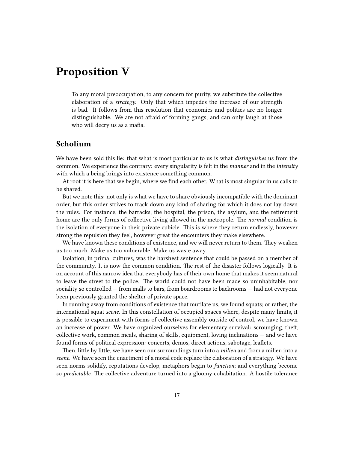### <span id="page-16-0"></span>**Proposition V**

To any moral preoccupation, to any concern for purity, we substitute the collective elaboration of a *strategy*. Only that which impedes the increase of our strength is bad. It follows from this resolution that economics and politics are no longer distinguishable. We are not afraid of forming gangs; and can only laugh at those who will decry us as a mafia.

#### <span id="page-16-1"></span>**Scholium**

We have been sold this lie: that what is most particular to us is what *distinguishes* us from the common. We experience the contrary: every singularity is felt in the *manner* and in the *intensity* with which a being brings into existence something common.

At root it is here that we begin, where we find each other. What is most singular in us calls to be shared.

But we note this: not only is what we have to share obviously incompatible with the dominant order, but this order strives to track down any kind of sharing for which it does not lay down the rules. For instance, the barracks, the hospital, the prison, the asylum, and the retirement home are the only forms of collective living allowed in the metropole. The *normal* condition is the isolation of everyone in their private cubicle. This is where they return endlessly, however strong the repulsion they feel, however great the encounters they make elsewhere.

We have known these conditions of existence, and we will never return to them. They weaken us too much. Make us too vulnerable. Make us waste away.

Isolation, in primal cultures, was the harshest sentence that could be passed on a member of the community. It is now the common condition. The rest of the disaster follows logically. It is on account of this narrow idea that everybody has of their own home that makes it seem natural to leave the street to the police. The world could not have been made so uninhabitable, nor sociality so controlled — from malls to bars, from boardrooms to backrooms — had not everyone been previously granted the shelter of private space.

In running away from conditions of existence that mutilate us, we found squats; or rather, the international squat *scene*. In this constellation of occupied spaces where, despite many limits, it is possible to experiment with forms of collective assembly outside of control, we have known an increase of power. We have organized ourselves for elementary survival: scrounging, theft, collective work, common meals, sharing of skills, equipment, loving inclinations — and we have found forms of political expression: concerts, demos, direct actions, sabotage, leaflets.

Then, little by little, we have seen our surroundings turn into a *milieu* and from a milieu into a *scene*. We have seen the enactment of a moral code replace the elaboration of a strategy. We have seen norms solidify, reputations develop, metaphors begin to *function*; and everything become so *predictable*. The collective adventure turned into a gloomy cohabitation. A hostile tolerance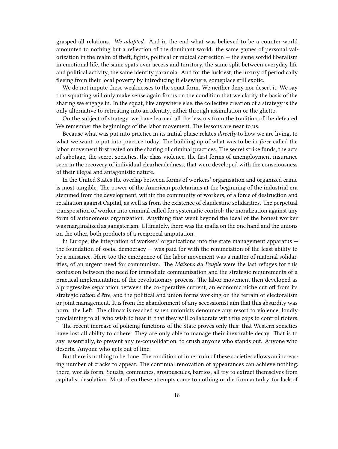grasped all relations. *We adapted*. And in the end what was believed to be a counter-world amounted to nothing but a reflection of the dominant world: the same games of personal valorization in the realm of theft, fights, political or radical correction — the same sordid liberalism in emotional life, the same spats over access and territory, the same split between everyday life and political activity, the same identity paranoia. And for the luckiest, the luxury of periodically fleeing from their local poverty by introducing it elsewhere, someplace still exotic.

We do not impute these weaknesses to the squat form. We neither deny nor desert it. We say that squatting will only make sense again for us on the condition that we clarify the basis of the sharing we engage in. In the squat, like anywhere else, the collective creation of a strategy is the only alternative to retreating into an identity, either through assimilation or the ghetto.

On the subject of strategy, we have learned all the lessons from the tradition of the defeated. We remember the beginnings of the labor movement. The lessons are near to us.

Because what was put into practice in its initial phase relates *directly* to how we are living, to what we want to put into practice today. The building up of what was to be in *force* called the labor movement first rested on the sharing of criminal practices. The secret strike funds, the acts of sabotage, the secret societies, the class violence, the first forms of unemployment insurance seen in the recovery of individual clearheadedness, that were developed with the consciousness of their illegal and antagonistic nature.

In the United States the overlap between forms of workers' organization and organized crime is most tangible. The power of the American proletarians at the beginning of the industrial era stemmed from the development, within the community of workers, of a force of destruction and retaliation against Capital, as well as from the existence of clandestine solidarities. The perpetual transposition of worker into criminal called for systematic control: the moralization against any form of autonomous organization. Anything that went beyond the ideal of the honest worker was marginalized as gangsterism. Ultimately, there was the mafia on the one hand and the unions on the other, both products of a reciprocal amputation.

In Europe, the integration of workers' organizations into the state management apparatus the foundation of social democracy — was paid for with the renunciation of the least ability to be a nuisance. Here too the emergence of the labor movement was a matter of material solidarities, of an urgent need for communism. The *Maisons du Peuple* were the last refuges for this confusion between the need for immediate communization and the strategic requirements of a practical implementation of the revolutionary process. The labor movement then developed as a progressive separation between the co-operative current, an economic niche cut off from its strategic *raison d'être*, and the political and union forms working on the terrain of electoralism or joint management. It is from the abandonment of any secessionist aim that this absurdity was born: the Left. The climax is reached when unionists denounce any resort to violence, loudly proclaiming to all who wish to hear it, that they will collaborate with the cops to control rioters.

The recent increase of policing functions of the State proves only this: that Western societies have lost all ability to cohere. They are only able to manage their inexorable decay. That is to say, essentially, to prevent any *re-*consolidation, to crush anyone who stands out. Anyone who deserts. Anyone who gets out of line.

But there is nothing to be done. The condition of inner ruin of these societies allows an increasing number of cracks to appear. The continual renovation of appearances can achieve nothing: there, worlds form. Squats, communes, groupuscules, barrios, all try to extract themselves from capitalist desolation. Most often these attempts come to nothing or die from autarky, for lack of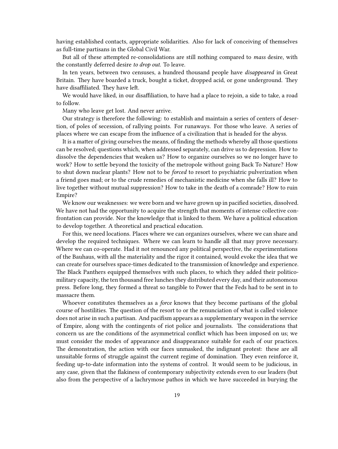having established contacts, appropriate solidarities. Also for lack of conceiving of themselves as full-time partisans in the Global Civil War.

But all of these attempted re-consolidations are still nothing compared to *mass* desire, with the constantly deferred desire *to drop out*. To leave.

In ten years, between two censuses, a hundred thousand people have *disappeared* in Great Britain. They have boarded a truck, bought a ticket, dropped acid, or gone underground. They have disaffiliated. They have left.

We would have liked, in our disaffiliation, to have had a place to rejoin, a side to take, a road to follow.

Many who leave get lost. And never arrive.

Our strategy is therefore the following: to establish and maintain a series of centers of desertion, of poles of secession, of rallying points. For runaways. For those who leave. A series of places where we can escape from the influence of a civilization that is headed for the abyss.

It is a matter of giving ourselves the means, of finding the methods whereby all those questions can be resolved; questions which, when addressed separately, can drive us to depression. How to dissolve the dependencies that weaken us? How to organize ourselves so we no longer have to work? How to settle beyond the toxicity of the metropole without going Back To Nature? How to shut down nuclear plants? How not to be *forced* to resort to psychiatric pulverization when a friend goes mad; or to the crude remedies of mechanistic medicine when she falls ill? How to live together without mutual suppression? How to take in the death of a comrade? How to ruin Empire?

We know our weaknesses: we were born and we have grown up in pacified societies, dissolved. We have not had the opportunity to acquire the strength that moments of intense collective confrontation can provide. Nor the knowledge that is linked to them. We have a political education to develop together. A theoretical and practical education.

For this, we need locations. Places where we can organizes ourselves, where we can share and develop the required techniques. Where we can learn to handle all that may prove necessary. Where we can co-operate. Had it not renounced any political perspective, the experimentations of the Bauhaus, with all the materiality and the rigor it contained, would evoke the idea that we can create for ourselves space-times dedicated to the transmission of knowledge and experience. The Black Panthers equipped themselves with such places, to which they added their politicomilitary capacity, the ten thousand free lunches they distributed every day, and their autonomous press. Before long, they formed a threat so tangible to Power that the Feds had to be sent in to massacre them.

Whoever constitutes themselves as a *force* knows that they become partisans of the global course of hostilities. The question of the resort to or the renunciation of what is called violence does not arise in such a partisan. And pacifism appears as a supplementary weapon in the service of Empire, along with the contingents of riot police and journalists. The considerations that concern us are the conditions of the asymmetrical conflict which has been imposed on us; we must consider the modes of appearance and disappearance suitable for each of our practices. The demonstration, the action with our faces unmasked, the indignant protest: these are all unsuitable forms of struggle against the current regime of domination. They even reinforce it, feeding up-to-date information into the systems of control. It would seem to be judicious, in any case, given that the flakiness of contemporary subjectivity extends even to our leaders (but also from the perspective of a lachrymose pathos in which we have succeeded in burying the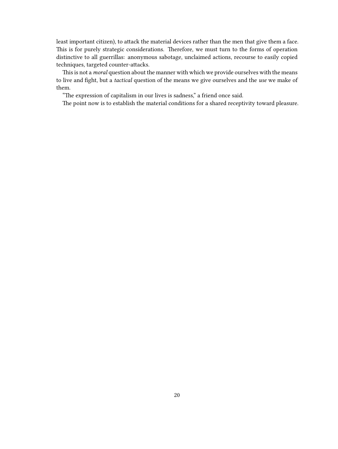least important citizen), to attack the material devices rather than the men that give them a face. This is for purely strategic considerations. Therefore, we must turn to the forms of operation distinctive to all guerrillas: anonymous sabotage, unclaimed actions, recourse to easily copied techniques, targeted counter-attacks.

This is not a *moral* question about the manner with which we provide ourselves with the means to live and fight, but a *tactical* question of the means we give ourselves and the *use* we make of them.

"The expression of capitalism in our lives is sadness," a friend once said.

The point now is to establish the material conditions for a shared receptivity toward pleasure.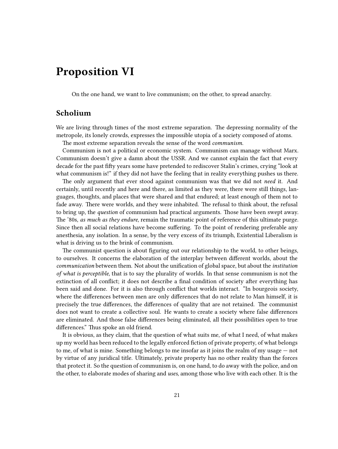### <span id="page-20-0"></span>**Proposition VI**

On the one hand, we want to live communism; on the other, to spread anarchy.

### <span id="page-20-1"></span>**Scholium**

We are living through times of the most extreme separation. The depressing normality of the metropole, its lonely crowds, expresses the impossible utopia of a society composed of atoms.

The most extreme separation reveals the sense of the word *communism*.

Communism is not a political or economic system. Communism can manage without Marx. Communism doesn't give a damn about the USSR. And we cannot explain the fact that every decade for the past fifty years some have pretended to rediscover Stalin's crimes, crying "look at what communism is!" if they did not have the feeling that in reality everything pushes us there.

The only argument that ever stood against communism was that we did not *need* it. And certainly, until recently and here and there, as limited as they were, there were still things, languages, thoughts, and places that were shared and that endured; at least enough of them not to fade away. There were worlds, and they were inhabited. The refusal to think about, the refusal to bring up, the *question* of communism had practical arguments. Those have been swept away. The '80s, *as much as they endure*, remain the traumatic point of reference of this ultimate purge. Since then all social relations have become suffering. To the point of rendering preferable any anesthesia, any isolation. In a sense, by the very excess of its triumph, Existential Liberalism is what is driving us to the brink of communism.

The communist question is about figuring out our relationship to the world, to other beings, to ourselves. It concerns the elaboration of the interplay between different worlds, about the *communication* between them. Not about the unification of global space, but about the *institution of what is perceptible*, that is to say the plurality of worlds. In that sense communism is not the extinction of all conflict; it does not describe a final condition of society after everything has been said and done. For it is also through conflict that worlds interact. "In bourgeois society, where the differences between men are only differences that do not relate to Man himself, it is precisely the true differences, the differences of quality that are not retained. The communist does not want to create a collective soul. He wants to create a society where false differences are eliminated. And those false differences being eliminated, all their possibilities open to true differences." Thus spoke an old friend.

It is obvious, as they claim, that the question of what suits me, of what I need, of what makes up my world has been reduced to the legally enforced fiction of private property, of what belongs to me, of what is mine. Something belongs to me insofar as it joins the realm of my usage — not by virtue of any juridical title. Ultimately, private property has no other reality than the forces that protect it. So the question of communism is, on one hand, to do away with the police, and on the other, to elaborate modes of sharing and *uses*, among those who live with each other. It is the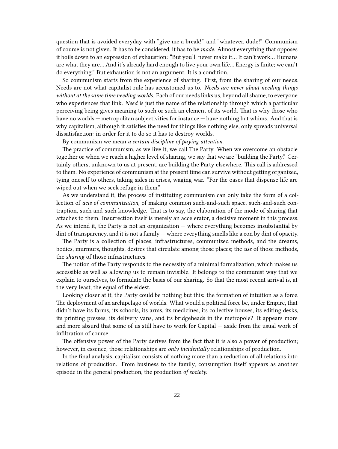question that is avoided everyday with "give me a break!" and "whatever, dude!" Communism of course is not given. It has to be considered, it has to be *made*. Almost everything that opposes it boils down to an expression of exhaustion: "But you'll never make it… It can't work… Humans are what they are… And it's already hard enough to live your own life… Energy is finite; we can't do everything." But exhaustion is not an argument. It is a condition.

So communism starts from the experience of sharing. First, from the sharing of our needs. Needs are not what capitalist rule has accustomed us to. *Needs are never about needing things without at the same time needing worlds.* Each of our needs links us, beyond all shame, to everyone who experiences that link. *Need* is just the name of the relationship through which a particular perceiving being gives meaning to such or such an element of its world. That is why those who have no worlds — metropolitan subjectivities for instance — have nothing but whims. And that is why capitalism, although it satisfies the need for things like nothing else, only spreads universal dissatisfaction: in order for it to do so it has to destroy worlds.

By communism we mean *a certain discipline of paying attention*.

The practice of communism, as we live it, we call The Party. When we overcome an obstacle together or when we reach a higher level of sharing, we say that we are "building the Party." Certainly others, unknown to us at present, are building the Party elsewhere. This call is addressed to them. No experience of communism at the present time can survive without getting organized, tying oneself to others, taking sides in crises, waging war. "For the oases that dispense life are wiped out when we seek refuge in them."

As we understand it, the process of instituting communism can only take the form of a collection of *acts of communization*, of making common such-and-such space, such-and-such contraption, such and-such knowledge. That is to say, the elaboration of the mode of sharing that attaches to them. Insurrection itself is merely an accelerator, a decisive moment in this process. As we intend it, the Party is not an organization — where everything becomes insubstantial by dint of transparency, and it is not a family — where everything smells like a con by dint of opacity.

The Party is a collection of places, infrastructures, communized methods, and the dreams, bodies, murmurs, thoughts, desires that circulate among those places; the *use* of those methods, the *sharing* of those infrastructures.

The notion of the Party responds to the necessity of a minimal formalization, which makes us accessible as well as allowing us to remain invisible. It belongs to the communist way that we explain to ourselves, to formulate the basis of our sharing. So that the most recent arrival is, at the very least, the equal of the eldest.

Looking closer at it, the Party could be nothing but this: the formation of intuition as a force. The deployment of an archipelago of worlds. What would a political force be, under Empire, that didn't have its farms, its schools, its arms, its medicines, its collective houses, its editing desks, its printing presses, its delivery vans, and its bridgeheads in the metropole? It appears more and more absurd that some of us still have to work for Capital — aside from the usual work of infiltration of course.

The offensive power of the Party derives from the fact that it is also a power of production; however, in essence, those relationships are *only incidentally* relationships of production.

In the final analysis, capitalism consists of nothing more than a reduction of all relations into relations of production. From business to the family, consumption itself appears as another episode in the general production, the production *of society*.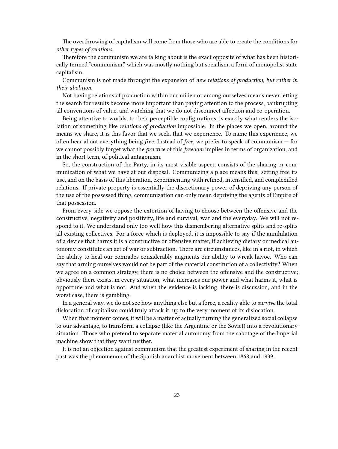The overthrowing of capitalism will come from those who are able to create the conditions for *other types of relations*.

Therefore the communism we are talking about is the exact opposite of what has been historically termed "communism," which was mostly nothing but socialism, a form of monopolist state capitalism.

Communism is not made throught the expansion of *new relations of production, but rather in their abolition*.

Not having relations of production within our milieu or among ourselves means never letting the search for results become more important than paying attention to the process, bankrupting all conventions of value, and watching that we do not disconnect affection and co-operation.

Being attentive to worlds, to their perceptible configurations, is exactly what renders the isolation of something like *relations of production* impossible. In the places we open, around the means we share, it is this favor that we seek, that we experience. To name this experience, we often hear about everything being *free*. Instead of *free*, we prefer to speak of communism — for we cannot possibly forget what the *practice* of this *freedom* implies in terms of organization, and in the short term, of political antagonism.

So, the construction of the Party, in its most visible aspect, consists of the sharing or communization of what we have at our disposal. Communizing a place means this: setting free its use, and on the basis of this liberation, experimenting with refined, intensified, and complexified relations. If private property is essentially the discretionary power of depriving any person of the use of the possessed thing, communization can only mean depriving the agents of Empire of that possession.

From every side we oppose the extortion of having to choose between the offensive and the constructive, negativity and positivity, life and survival, war and the everyday. We will not respond to it. We understand only too well how this dismembering alternative splits and re-splits all existing collectives. For a force which is deployed, it is impossible to say if the annihilation of a device that harms it is a constructive or offensive matter, if achieving dietary or medical autonomy constitutes an act of war or subtraction. There are circumstances, like in a riot, in which the ability to heal our comrades considerably augments our ability to wreak havoc. Who can say that arming ourselves would not be part of the material constitution of a collectivity? When we agree on a common strategy, there is no choice between the offensive and the constructive; obviously there exists, in every situation, what increases our power and what harms it, what is opportune and what is not. And when the evidence is lacking, there is discussion, and in the worst case, there is gambling.

In a general way, we do not see how anything else but a force, a reality able to *survive* the total dislocation of capitalism could truly attack it, up to the very moment of its dislocation.

When that moment comes, it will be a matter of actually turning the generalized social collapse to our advantage, to transform a collapse (like the Argentine or the Soviet) into a revolutionary situation. Those who pretend to separate material autonomy from the sabotage of the Imperial machine show that they want neither.

It is not an objection against communism that the greatest experiment of sharing in the recent past was the phenomenon of the Spanish anarchist movement between 1868 and 1939.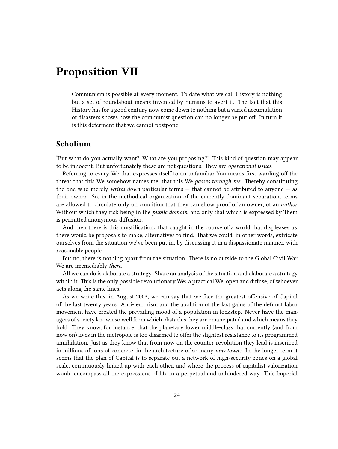### <span id="page-23-0"></span>**Proposition VII**

Communism is possible at every moment. To date what we call History is nothing but a set of roundabout means invented by humans to avert it. The fact that this History has for a good century now come down to nothing but a varied accumulation of disasters shows how the communist question can no longer be put off. In turn it is this deferment that we cannot postpone.

#### <span id="page-23-1"></span>**Scholium**

"But what do you actually want? What are you proposing?" This kind of question may appear to be innocent. But unfortunately these are not questions. They are *operational issues*.

Referring to every We that expresses itself to an unfamiliar You means first warding off the threat that this We somehow names me, that this We *passes through me*. Thereby constituting the one who merely *writes down* particular terms — that cannot be attributed to anyone — as their owner. So, in the methodical organization of the currently dominant separation, terms are allowed to circulate only on condition that they can show proof of an owner, of an *author*. Without which they risk being in the *public domain*, and only that which is expressed by Them is permitted anonymous diffusion.

And then there is this mystification: that caught in the course of a world that displeases us, there would be proposals to make, alternatives to find. That we could, in other words, extricate ourselves from the situation we've been put in, by discussing it in a dispassionate manner, with reasonable people.

But no, there is nothing apart from the situation. There is no outside to the Global Civil War. We are irremediably *there*.

All we can do is elaborate a strategy. Share an analysis of the situation and elaborate a strategy within it. This is the only possible revolutionary We: a practical We, open and diffuse, of whoever acts along the same lines.

As we write this, in August 2003, we can say that we face the greatest offensive of Capital of the last twenty years. Anti-terrorism and the abolition of the last gains of the defunct labor movement have created the prevailing mood of a population in lockstep. Never have the managers of society known so well from which obstacles they are emancipated and which means they hold. They know, for instance, that the planetary lower middle-class that currently (and from now on) lives in the metropole is too disarmed to offer the slightest resistance to its programmed annihilation. Just as they know that from now on the counter-revolution they lead is inscribed in millions of tons of concrete, in the architecture of so many *new towns*. In the longer term it seems that the plan of Capital is to separate out a network of high-security zones on a global scale, continuously linked up with each other, and where the process of capitalist valorization would encompass all the expressions of life in a perpetual and unhindered way. This Imperial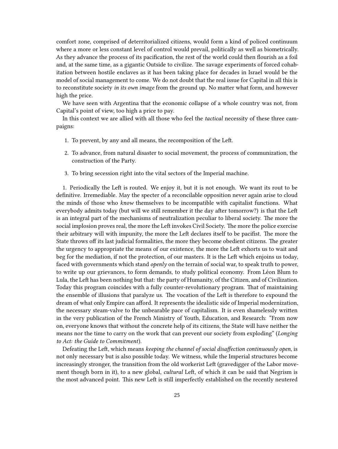comfort zone, comprised of deterritorialized citizens, would form a kind of policed continuum where a more or less constant level of control would prevail, politically as well as biometrically. As they advance the process of its pacification, the rest of the world could then flourish as a foil and, at the same time, as a gigantic Outside to civilize. The savage experiments of forced cohabitation between hostile enclaves as it has been taking place for decades in Israel would be the model of social management to come. We do not doubt that the real issue for Capital in all this is to reconstitute society *in its own image* from the ground up. No matter what form, and however high the price.

We have seen with Argentina that the economic collapse of a whole country was not, from Capital's point of view, too high a price to pay.

In this context we are allied with all those who feel the *tactical* necessity of these three campaigns:

- 1. To prevent, by any and all means, the recomposition of the Left.
- 2. To advance, from natural disaster to social movement, the process of communization, the construction of the Party.
- 3. To bring secession right into the vital sectors of the Imperial machine.

1. Periodically the Left is routed. We enjoy it, but it is not enough. We want its rout to be definitive. Irremediable. May the specter of a reconcilable opposition never again arise to cloud the minds of those who *know* themselves to be incompatible with capitalist functions. What everybody admits today (but will we still remember it the day after tomorrow?) is that the Left is an integral part of the mechanisms of neutralization peculiar to liberal society. The more the social implosion proves real, the more the Left invokes Civil Society. The more the police exercise their arbitrary will with impunity, the more the Left declares itself to be pacifist. The more the State throws off its last judicial formalities, the more they become obedient citizens. The greater the urgency to appropriate the means of our existence, the more the Left exhorts us to wait and beg for the mediation, if not the protection, of our masters. It is the Left which enjoins us today, faced with governments which stand *openly* on the terrain of social war, to speak truth to power, to write up our grievances, to form demands, to study political economy. From Léon Blum to Lula, the Left has been nothing but that: the party of Humanity, of the Citizen, and of Civilization. Today this program coincides with a fully counter-revolutionary program. That of maintaining the ensemble of illusions that paralyze us. The vocation of the Left is therefore to expound the dream of what only Empire can afford. It represents the idealistic side of Imperial modernization, the necessary steam-valve to the unbearable pace of capitalism. It is even shamelessly written in the very publication of the French Ministry of Youth, Education, and Research: "From now on, everyone knows that without the concrete help of its citizens, the State will have neither the means nor the time to carry on the work that can prevent our society from exploding" (*Longing to Act: the Guide to Commitment*).

Defeating the Left, which means *keeping the channel of social disaffection continuously open*, is not only necessary but is also possible today. We witness, while the Imperial structures become increasingly stronger, the transition from the old workerist Left (gravedigger of the Labor movement though born in it), to a new global, *cultural* Left, of which it can be said that Negrism is the most advanced point. This new Left is still imperfectly established on the recently neutered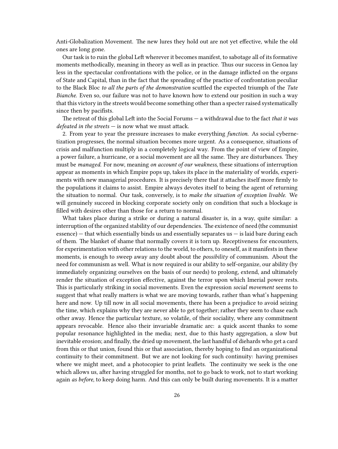Anti-Globalization Movement. The new lures they hold out are not yet effective, while the old ones are long gone.

Our task is to ruin the global Left wherever it becomes manifest, to sabotage all of its formative moments methodically, meaning in theory as well as in practice. Thus our success in Genoa lay less in the spectacular confrontations with the police, or in the damage inflicted on the organs of State and Capital, than in the fact that the spreading of the practice of confrontation peculiar to the Black Bloc *to all the parts of the demonstration* scuttled the expected triumph of the *Tute Bianche*. Even so, our failure was not to have known how to extend our position in such a way that this victory in the streets would become something other than a specter raised systematically since then by pacifists.

The retreat of this global Left into the Social Forums — a withdrawal due to the fact *that it was defeated in the streets* — is now what we must attack.

2. From year to year the pressure increases to make everything *function*. As social cybernetization progresses, the normal situation becomes more urgent. As a consequence, situations of crisis and malfunction multiply in a completely logical way. From the point of view of Empire, a power failure, a hurricane, or a social movement are all the same. They are disturbances. They must be *managed*. For now, meaning *on account of our weakness*, these situations of interruption appear as moments in which Empire pops up, takes its place in the materiality of worlds, experiments with new managerial procedures. It is precisely there that it attaches itself more firmly to the populations it claims to assist. Empire always devotes itself to being the agent of returning the situation to normal. Our task, conversely, is to *make the situation of exception livable*. We will genuinely succeed in blocking corporate society only on condition that such a blockage is filled with desires other than those for a return to normal.

What takes place during a strike or during a natural disaster is, in a way, quite similar: a interruption of the organized stability of our dependencies. The existence of need (the communist  $e$  essence)  $-$  that which essentially binds us and essentially separates us  $-$  is laid bare during each of them. The blanket of shame that normally covers it is torn up. Receptiveness for encounters, for experimentation with other relations to the world, to others, to oneself, as it manifests in these moments, is enough to sweep away any doubt about the *possibility* of communism. About the need for communism as well. What is now required is our ability to self-organize, our ability (by immediately organizing ourselves on the basis of our needs) to prolong, extend, and ultimately render the situation of exception effective, against the terror upon which Imerial power rests. This is particularly striking in social movements. Even the expression *social movement* seems to suggest that what really matters is what we are moving towards, rather than what's happening here and now. Up till now in all social movements, there has been a prejudice to avoid seizing the time, which explains why they are never able to get together; rather they seem to chase each other away. Hence the particular texture, so volatile, of their sociality, where any commitment appears revocable. Hence also their invariable dramatic arc: a quick ascent thanks to some popular resonance highlighted in the media; next, due to this hasty aggregation, a slow but inevitable erosion; and finally, the dried up movement, the last handful of diehards who get a card from this or that union, found this or that association, thereby hoping to find an organizational continuity to their commitment. But we are not looking for such continuity: having premises where we might meet, and a photocopier to print leaflets. The continuity we seek is the one which allows us, after having struggled for months, not to go back to work, not to start working again *as before*, to keep doing harm. And this can only be built during movements. It is a matter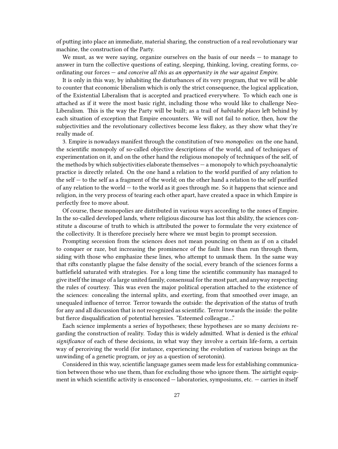of putting into place an immediate, material sharing, the construction of a real revolutionary war machine, the construction of the Party.

We must, as we were saying, organize ourselves on the basis of our needs  $-$  to manage to answer in turn the collective questions of eating, sleeping, thinking, loving, creating forms, coordinating our forces — *and conceive all this as an opportunity in the war against Empire*.

It is only in this way, by inhabiting the disturbances of its very program, that we will be able to counter that economic liberalism which is only the strict consequence, the logical application, of the Existential Liberalism that is accepted and practiced everywhere. To which each one is attached as if it were the most basic right, including those who would like to challenge Neo-Liberalism. This is the way the Party will be built; as a trail of *habitable places* left behind by each situation of exception that Empire encounters. We will not fail to notice, then, how the subjectivities and the revolutionary collectives become less flakey, as they show what they're really made of.

3. Empire is nowadays manifest through the constitution of two *monopolies*: on the one hand, the scientific monopoly of so-called objective descriptions of the world, and of techniques of experimentation on it, and on the other hand the religious monopoly of techniques of the self, of the methods by which subjectivities elaborate themselves — a monopoly to which psychoanalytic practice is directly related. On the one hand a relation to the world purified of any relation to the self — to the self as a fragment of the world; on the other hand a relation to the self purified of any relation to the world — to the world as it goes through me. So it happens that science and religion, in the very process of tearing each other apart, have created a space in which Empire is perfectly free to move about.

Of course, these monopolies are distributed in various ways according to the zones of Empire. In the so-called developed lands, where religious discourse has lost this ability, the sciences constitute a discourse of truth to which is attributed the power to formulate the very existence of the collectivity. It is therefore precisely here where we must begin to prompt secession.

Prompting secession from the sciences does not mean pouncing on them as if on a citadel to conquer or raze, but increasing the prominence of the fault lines than run through them, siding with those who emphasize these lines, who attempt to unmask them. In the same way that rifts constantly plague the false density of the social, every branch of the sciences forms a battlefield saturated with strategies. For a long time the scientific community has managed to give itself the image of a large united family, consensual for the most part, and anyway respecting the rules of courtesy. This was even the major political operation attached to the existence of the sciences: concealing the internal splits, and exerting, from that smoothed over image, an unequaled influence of terror. Terror towards the outside: the deprivation of the status of truth for any and all discussion that is not recognized as scientific. Terror towards the inside: the polite but fierce disqualification of potential heresies. "Esteemed colleague…"

Each science implements a series of hypotheses; these hypotheses are so many *decisions* regarding the construction of reality. Today this is widely admitted. What is denied is the *ethical significance* of each of these decisions, in what way they involve a certain life-form, a certain way of perceiving the world (for instance, experiencing the evolution of various beings as the unwinding of a genetic program, or joy as a question of serotonin).

Considered in this way, scientific language games seem made less for establishing communication between those who use them, than for excluding those who ignore them. The airtight equipment in which scientific activity is ensconced — laboratories, symposiums, etc. — carries in itself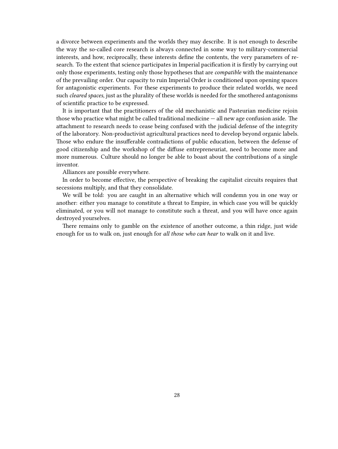a divorce between experiments and the worlds they may describe. It is not enough to describe the way the so-called core research is always connected in some way to military-commercial interests, and how, reciprocally, these interests define the contents, the very parameters of research. To the extent that science participates in Imperial pacification it is firstly by carrying out only those experiments, testing only those hypotheses that are *compatible* with the maintenance of the prevailing order. Our capacity to ruin Imperial Order is conditioned upon opening spaces for antagonistic experiments. For these experiments to produce their related worlds, we need such *cleared spaces*, just as the plurality of these worlds is needed for the smothered antagonisms of scientific practice to be expressed.

It is important that the practitioners of the old mechanistic and Pasteurian medicine rejoin those who practice what might be called traditional medicine — all new age confusion aside. The attachment to research needs to cease being confused with the judicial defense of the integrity of the laboratory. Non-productivist agricultural practices need to develop beyond organic labels. Those who endure the insufferable contradictions of public education, between the defense of good citizenship and the workshop of the diffuse entrepreneuriat, need to become more and more numerous. Culture should no longer be able to boast about the contributions of a single inventor.

Alliances are possible everywhere.

In order to become effective, the perspective of breaking the capitalist circuits requires that secessions multiply, and that they consolidate.

We will be told: you are caught in an alternative which will condemn you in one way or another: either you manage to constitute a threat to Empire, in which case you will be quickly eliminated, or you will not manage to constitute such a threat, and you will have once again destroyed yourselves.

There remains only to gamble on the existence of another outcome, a thin ridge, just wide enough for us to walk on, just enough for *all those who can hear* to walk on it and live.